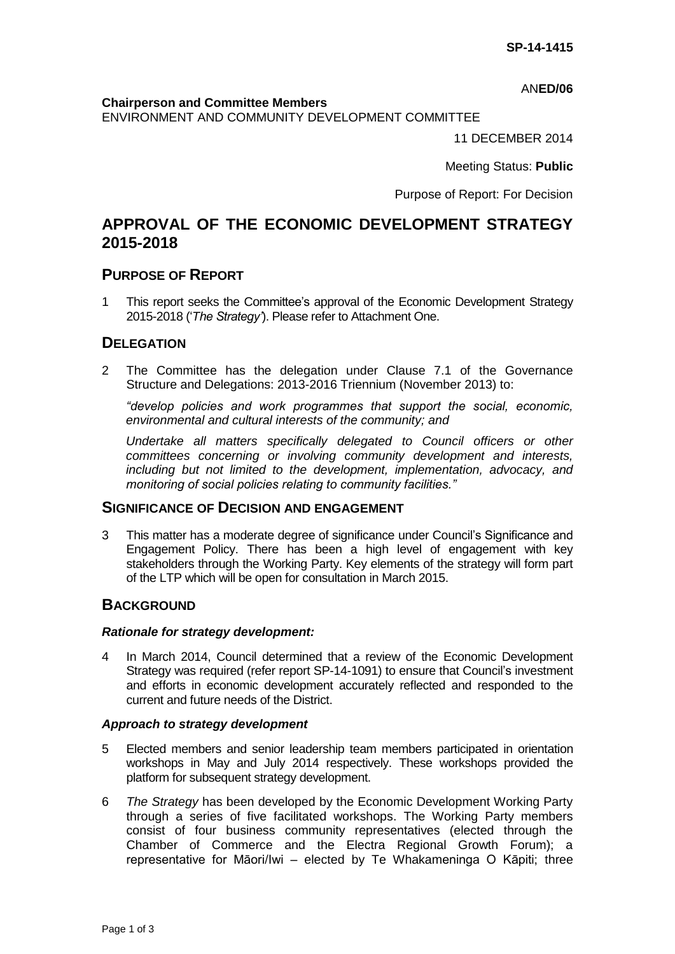AN**ED/06**

#### **Chairperson and Committee Members**

ENVIRONMENT AND COMMUNITY DEVELOPMENT COMMITTEE

11 DECEMBER 2014

Meeting Status: **Public**

Purpose of Report: For Decision

# **APPROVAL OF THE ECONOMIC DEVELOPMENT STRATEGY 2015-2018**

## **PURPOSE OF REPORT**

1 This report seeks the Committee's approval of the Economic Development Strategy 2015-2018 ('*The Strategy'*). Please refer to Attachment One.

# **DELEGATION**

2 The Committee has the delegation under Clause 7.1 of the Governance Structure and Delegations: 2013-2016 Triennium (November 2013) to:

*"develop policies and work programmes that support the social, economic, environmental and cultural interests of the community; and*

*Undertake all matters specifically delegated to Council officers or other committees concerning or involving community development and interests, including but not limited to the development, implementation, advocacy, and monitoring of social policies relating to community facilities."*

## **SIGNIFICANCE OF DECISION AND ENGAGEMENT**

3 This matter has a moderate degree of significance under Council's Significance and Engagement Policy. There has been a high level of engagement with key stakeholders through the Working Party. Key elements of the strategy will form part of the LTP which will be open for consultation in March 2015.

## **BACKGROUND**

#### *Rationale for strategy development:*

4 In March 2014, Council determined that a review of the Economic Development Strategy was required (refer report SP-14-1091) to ensure that Council's investment and efforts in economic development accurately reflected and responded to the current and future needs of the District.

#### *Approach to strategy development*

- 5 Elected members and senior leadership team members participated in orientation workshops in May and July 2014 respectively. These workshops provided the platform for subsequent strategy development.
- 6 *The Strategy* has been developed by the Economic Development Working Party through a series of five facilitated workshops. The Working Party members consist of four business community representatives (elected through the Chamber of Commerce and the Electra Regional Growth Forum); a representative for Māori/Iwi – elected by Te Whakameninga O Kāpiti; three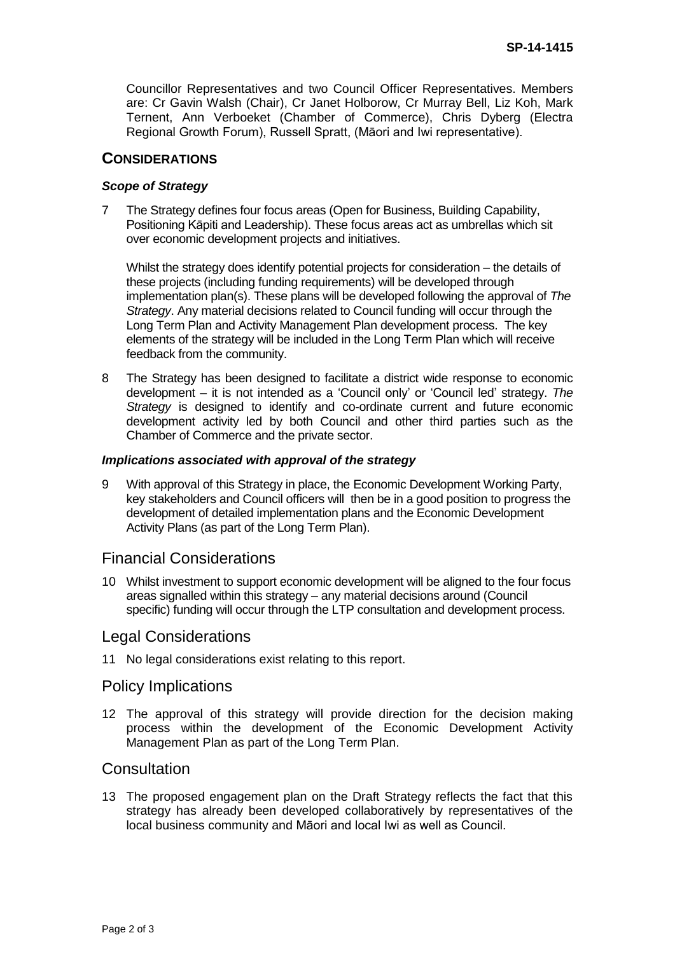Councillor Representatives and two Council Officer Representatives. Members are: Cr Gavin Walsh (Chair), Cr Janet Holborow, Cr Murray Bell, Liz Koh, Mark Ternent, Ann Verboeket (Chamber of Commerce), Chris Dyberg (Electra Regional Growth Forum), Russell Spratt, (Māori and Iwi representative).

## **CONSIDERATIONS**

### *Scope of Strategy*

7 The Strategy defines four focus areas (Open for Business, Building Capability, Positioning Kāpiti and Leadership). These focus areas act as umbrellas which sit over economic development projects and initiatives.

Whilst the strategy does identify potential projects for consideration – the details of these projects (including funding requirements) will be developed through implementation plan(s). These plans will be developed following the approval of *The Strategy*. Any material decisions related to Council funding will occur through the Long Term Plan and Activity Management Plan development process. The key elements of the strategy will be included in the Long Term Plan which will receive feedback from the community.

8 The Strategy has been designed to facilitate a district wide response to economic development – it is not intended as a 'Council only' or 'Council led' strategy. *The Strategy* is designed to identify and co-ordinate current and future economic development activity led by both Council and other third parties such as the Chamber of Commerce and the private sector.

#### *Implications associated with approval of the strategy*

9 With approval of this Strategy in place, the Economic Development Working Party, key stakeholders and Council officers will then be in a good position to progress the development of detailed implementation plans and the Economic Development Activity Plans (as part of the Long Term Plan).

# Financial Considerations

10 Whilst investment to support economic development will be aligned to the four focus areas signalled within this strategy – any material decisions around (Council specific) funding will occur through the LTP consultation and development process.

## Legal Considerations

11 No legal considerations exist relating to this report.

## Policy Implications

12 The approval of this strategy will provide direction for the decision making process within the development of the Economic Development Activity Management Plan as part of the Long Term Plan.

# **Consultation**

13 The proposed engagement plan on the Draft Strategy reflects the fact that this strategy has already been developed collaboratively by representatives of the local business community and Māori and local Iwi as well as Council.